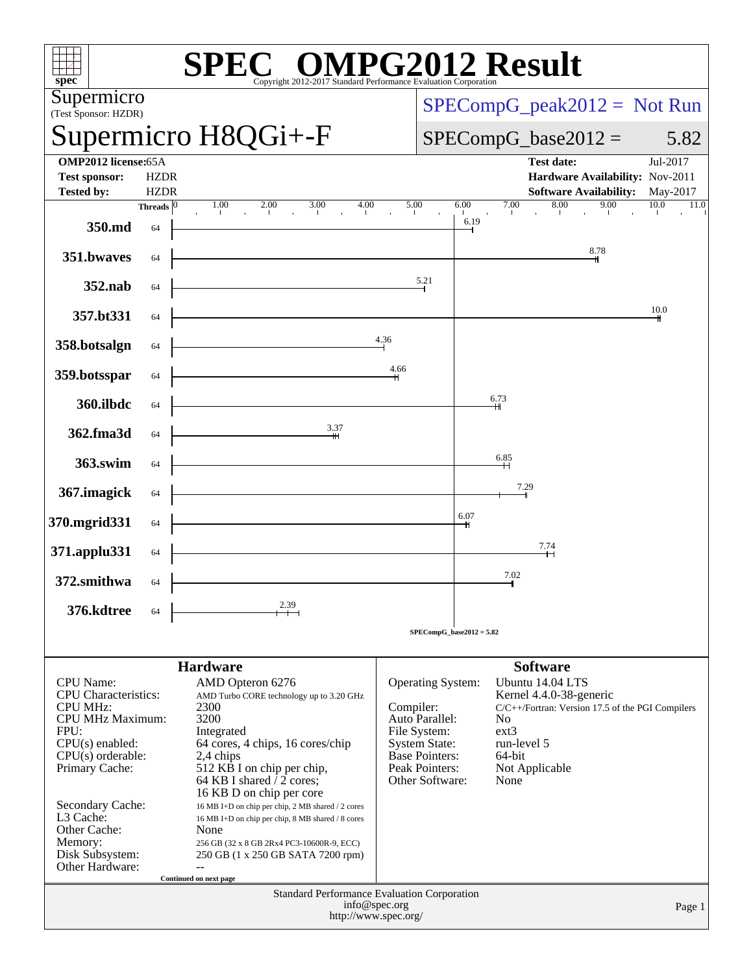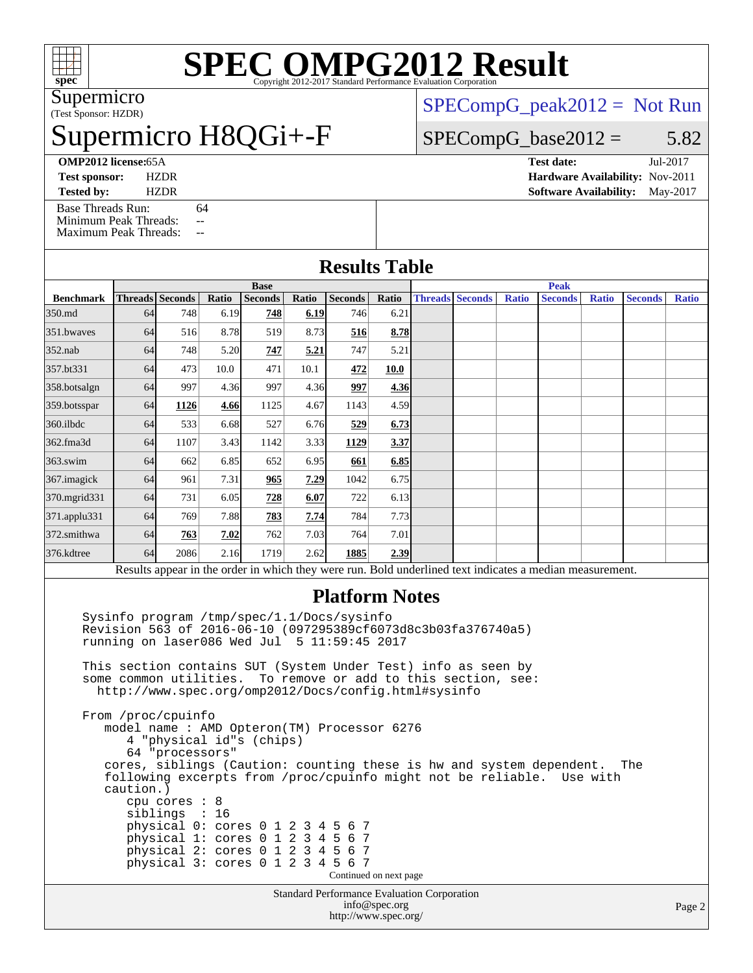

# **[SPEC OMPG2012 Result](http://www.spec.org/auto/omp2012/Docs/result-fields.html#SPECOMPG2012Result)**

(Test Sponsor: HZDR) Supermicro

# Supermicro H8QGi+-F

[SPECompG\\_peak2012 =](http://www.spec.org/auto/omp2012/Docs/result-fields.html#SPECompGpeak2012) Not Run

### $SPECompG_base2012 = 5.82$  $SPECompG_base2012 = 5.82$

**[Test sponsor:](http://www.spec.org/auto/omp2012/Docs/result-fields.html#Testsponsor)** HZDR **[Hardware Availability:](http://www.spec.org/auto/omp2012/Docs/result-fields.html#HardwareAvailability)** Nov-2011 [Base Threads Run:](http://www.spec.org/auto/omp2012/Docs/result-fields.html#BaseThreadsRun) 64

[Minimum Peak Threads:](http://www.spec.org/auto/omp2012/Docs/result-fields.html#MinimumPeakThreads) --[Maximum Peak Threads:](http://www.spec.org/auto/omp2012/Docs/result-fields.html#MaximumPeakThreads) --

**[OMP2012 license:](http://www.spec.org/auto/omp2012/Docs/result-fields.html#OMP2012license)**65A **[Test date:](http://www.spec.org/auto/omp2012/Docs/result-fields.html#Testdate)** Jul-2017

**[Tested by:](http://www.spec.org/auto/omp2012/Docs/result-fields.html#Testedby)** HZDR **[Software Availability:](http://www.spec.org/auto/omp2012/Docs/result-fields.html#SoftwareAvailability)** May-2017

| <b>Results Table</b>                                                                                                                                                                                                                                 |              |                                |       |             |       |                |       |             |                        |              |                                                                                                                                               |              |                |              |
|------------------------------------------------------------------------------------------------------------------------------------------------------------------------------------------------------------------------------------------------------|--------------|--------------------------------|-------|-------------|-------|----------------|-------|-------------|------------------------|--------------|-----------------------------------------------------------------------------------------------------------------------------------------------|--------------|----------------|--------------|
|                                                                                                                                                                                                                                                      |              |                                |       | <b>Base</b> |       |                |       | <b>Peak</b> |                        |              |                                                                                                                                               |              |                |              |
| <b>Benchmark</b>                                                                                                                                                                                                                                     |              | <b>Threads Seconds</b>         | Ratio | Seconds     | Ratio | <b>Seconds</b> | Ratio |             | <b>Threads</b> Seconds | <b>Ratio</b> | <b>Seconds</b>                                                                                                                                | <b>Ratio</b> | <b>Seconds</b> | <b>Ratio</b> |
| 350.md                                                                                                                                                                                                                                               | 64           | 748                            | 6.19  | 748         | 6.19  | 746            | 6.21  |             |                        |              |                                                                                                                                               |              |                |              |
| 351.bwaves                                                                                                                                                                                                                                           | 64           | 516                            | 8.78  | 519         | 8.73  | 516            | 8.78  |             |                        |              |                                                                                                                                               |              |                |              |
| 352.nab                                                                                                                                                                                                                                              | 64           | 748                            | 5.20  | 747         | 5.21  | 747            | 5.21  |             |                        |              |                                                                                                                                               |              |                |              |
| 357.bt331                                                                                                                                                                                                                                            | 64           | 473                            | 10.0  | 471         | 10.1  | 472            | 10.0  |             |                        |              |                                                                                                                                               |              |                |              |
| 358.botsalgn                                                                                                                                                                                                                                         | 64           | 997                            | 4.36  | 997         | 4.36  | 997            | 4.36  |             |                        |              |                                                                                                                                               |              |                |              |
| 359.botsspar                                                                                                                                                                                                                                         | 64           | 1126                           | 4.66  | 1125        | 4.67  | 1143           | 4.59  |             |                        |              |                                                                                                                                               |              |                |              |
| 360.ilbdc                                                                                                                                                                                                                                            | 64           | 533                            | 6.68  | 527         | 6.76  | 529            | 6.73  |             |                        |              |                                                                                                                                               |              |                |              |
| 362.fma3d                                                                                                                                                                                                                                            | 64           | 1107                           | 3.43  | 1142        | 3.33  | 1129           | 3.37  |             |                        |              |                                                                                                                                               |              |                |              |
| 363.swim                                                                                                                                                                                                                                             | 64           | 662                            | 6.85  | 652         | 6.95  | 661            | 6.85  |             |                        |              |                                                                                                                                               |              |                |              |
| 367.imagick                                                                                                                                                                                                                                          | 64           | 961                            | 7.31  | 965         | 7.29  | 1042           | 6.75  |             |                        |              |                                                                                                                                               |              |                |              |
| 370.mgrid331                                                                                                                                                                                                                                         | 64           | 731                            | 6.05  | 728         | 6.07  | 722            | 6.13  |             |                        |              |                                                                                                                                               |              |                |              |
| 371.applu331                                                                                                                                                                                                                                         | 64           | 769                            | 7.88  | 783         | 7.74  | 784            | 7.73  |             |                        |              |                                                                                                                                               |              |                |              |
| 372.smithwa                                                                                                                                                                                                                                          | 64           | 763                            | 7.02  | 762         | 7.03  | 764            | 7.01  |             |                        |              |                                                                                                                                               |              |                |              |
| 376.kdtree                                                                                                                                                                                                                                           | 64           | 2086                           | 2.16  | 1719        | 2.62  | 1885           | 2.39  |             |                        |              |                                                                                                                                               |              |                |              |
| Results appear in the order in which they were run. Bold underlined text indicates a median measurement.                                                                                                                                             |              |                                |       |             |       |                |       |             |                        |              |                                                                                                                                               |              |                |              |
| <b>Platform Notes</b><br>Sysinfo program /tmp/spec/1.1/Docs/sysinfo<br>Revision 563 of 2016-06-10 (097295389cf6073d8c3b03fa376740a5)<br>running on laser086 Wed Jul 5 11:59:45 2017<br>This section contains SUT (System Under Test) info as seen by |              |                                |       |             |       |                |       |             |                        |              |                                                                                                                                               |              |                |              |
| some common utilities. To remove or add to this section, see:<br>http://www.spec.org/omp2012/Docs/config.html#sysinfo<br>From /proc/cpuinfo<br>model name: AMD Opteron(TM) Processor 6276<br>4 "physical id"s (chips)<br>64 "processors"             |              |                                |       |             |       |                |       |             |                        |              |                                                                                                                                               |              |                |              |
|                                                                                                                                                                                                                                                      | $caution.$ ) | cpu cores : 8<br>siblings : 16 |       |             |       |                |       |             |                        |              | cores, siblings (Caution: counting these is hw and system dependent.<br>following excerpts from /proc/cpuinfo might not be reliable. Use with |              | The            |              |

#### physical 3: cores 0 1 2 3 4 5 6 7 Continued on next page

 physical 0: cores 0 1 2 3 4 5 6 7 physical 1: cores 0 1 2 3 4 5 6 7 physical 2: cores 0 1 2 3 4 5 6 7

> Standard Performance Evaluation Corporation [info@spec.org](mailto:info@spec.org) <http://www.spec.org/>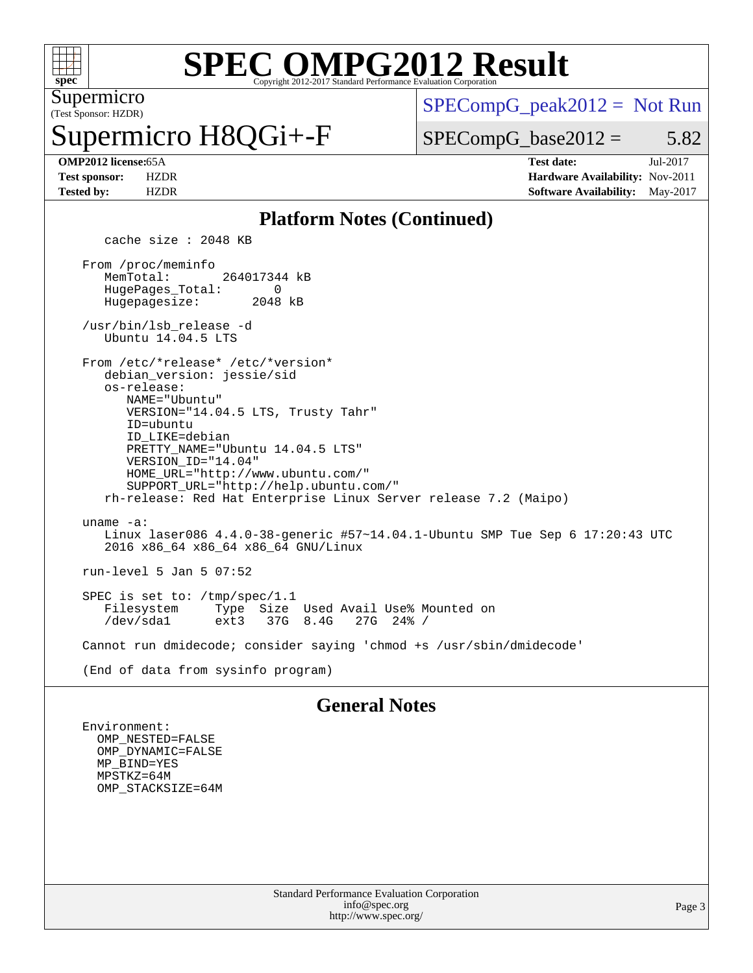

### **[SPEC OMPG2012 Result](http://www.spec.org/auto/omp2012/Docs/result-fields.html#SPECOMPG2012Result)** Copyright 2012-2017 Standard Performance Evaluation Corporation

(Test Sponsor: HZDR) Supermicro

permicro H8QGi+-F

 $SPECompG_peak2012 = Not Run$  $SPECompG_peak2012 = Not Run$ 

 $SPECompG_base2012 = 5.82$  $SPECompG_base2012 = 5.82$ 

**[OMP2012 license:](http://www.spec.org/auto/omp2012/Docs/result-fields.html#OMP2012license)**65A **[Test date:](http://www.spec.org/auto/omp2012/Docs/result-fields.html#Testdate)** Jul-2017 **[Test sponsor:](http://www.spec.org/auto/omp2012/Docs/result-fields.html#Testsponsor)** HZDR **[Hardware Availability:](http://www.spec.org/auto/omp2012/Docs/result-fields.html#HardwareAvailability)** Nov-2011 **[Tested by:](http://www.spec.org/auto/omp2012/Docs/result-fields.html#Testedby)** HZDR **[Software Availability:](http://www.spec.org/auto/omp2012/Docs/result-fields.html#SoftwareAvailability)** May-2017

#### **[Platform Notes \(Continued\)](http://www.spec.org/auto/omp2012/Docs/result-fields.html#PlatformNotes)**

cache size : 2048 KB

 From /proc/meminfo MemTotal: 264017344 kB HugePages\_Total: 0<br>Hugepagesize: 2048 kB Hugepagesize:

 /usr/bin/lsb\_release -d Ubuntu 14.04.5 LTS

From /etc/\*release\* /etc/\*version\*

 debian\_version: jessie/sid os-release:

 NAME="Ubuntu" VERSION="14.04.5 LTS, Trusty Tahr" ID=ubuntu ID\_LIKE=debian PRETTY\_NAME="Ubuntu 14.04.5 LTS" VERSION\_ID="14.04" HOME\_URL="<http://www.ubuntu.com/">

 rh-release: Red Hat Enterprise Linux Server release 7.2 (Maipo) uname -a: Linux laser086 4.4.0-38-generic #57~14.04.1-Ubuntu SMP Tue Sep 6 17:20:43 UTC

2016 x86\_64 x86\_64 x86\_64 GNU/Linux

run-level 5 Jan 5 07:52

SPEC is set to: /tmp/spec/1.1<br>Filesystem Type Size Filesystem Type Size Used Avail Use% Mounted on<br>/dev/sdal ext3 37G 8.4G 27G 24% / 37G 8.4G

SUPPORT\_URL="<http://help.ubuntu.com/">

Cannot run dmidecode; consider saying 'chmod +s /usr/sbin/dmidecode'

(End of data from sysinfo program)

### **[General Notes](http://www.spec.org/auto/omp2012/Docs/result-fields.html#GeneralNotes)**

 Environment: OMP\_NESTED=FALSE OMP\_DYNAMIC=FALSE MP\_BIND=YES MPSTKZ=64M OMP\_STACKSIZE=64M